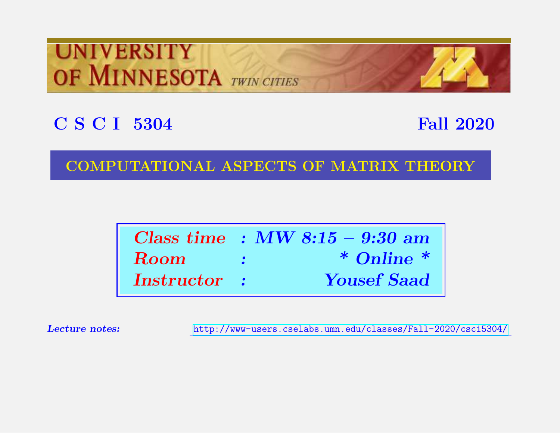# **UNIVERSITY** OF MINNESOTA TWIN CITIES

# C S C I 5304 Fall 2020

#### COMPUTATIONAL ASPECTS OF MATRIX THEORY

|                    |                              | Class time : $MW 8:15 - 9:30$ am |
|--------------------|------------------------------|----------------------------------|
| <b>Room</b>        | <b><i>Contract State</i></b> | $*$ Online $*$                   |
| <b>Instructor:</b> |                              | <b>Yousef Saad</b>               |

Lecture notes: <http://www-users.cselabs.umn.edu/classes/Fall-2020/csci5304/>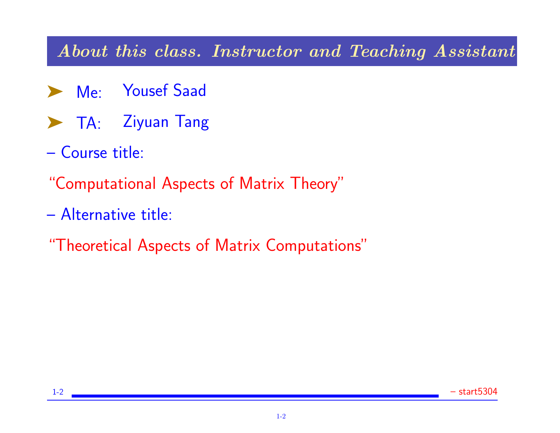#### About this class. Instructor and Teaching Assistant

- ➤ Me: Yousef Saad
- ▶ TA: Ziyuan Tang
- Course title:
- "Computational Aspects of Matrix Theory"
- Alternative title:
- "Theoretical Aspects of Matrix Computations"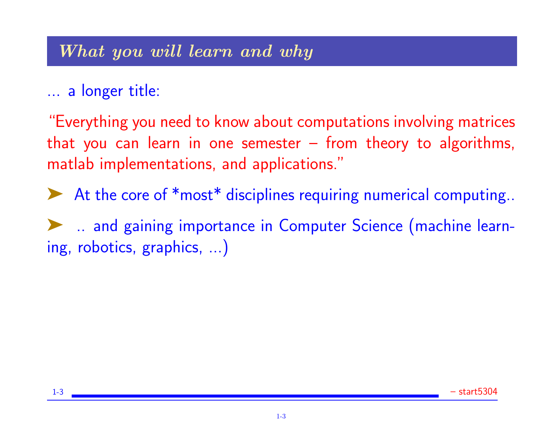#### What you will learn and why

## ... a longer title:

"Everything you need to know about computations involving matrices that you can learn in one semester – from theory to algorithms, matlab implementations, and applications."

▶ At the core of \*most\* disciplines requiring numerical computing..

➤ .. and gaining importance in Computer Science (machine learning, robotics, graphics, ...)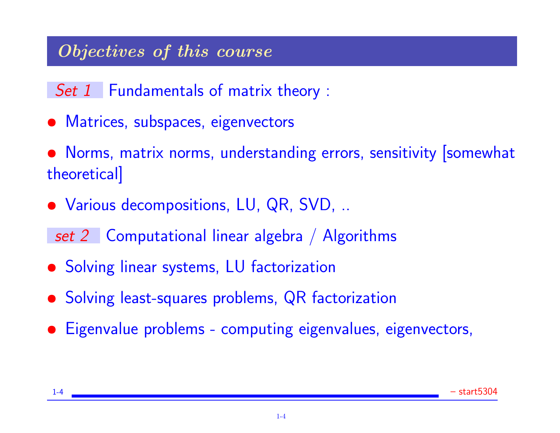### Objectives of this course

Set 1 Fundamentals of matrix theory :

- Matrices, subspaces, eigenvectors
- Norms, matrix norms, understanding errors, sensitivity [somewhat theoretical]
- Various decompositions, LU, QR, SVD, ..

set 2 Computational linear algebra / Algorithms

- Solving linear systems, LU factorization
- Solving least-squares problems, QR factorization
- Eigenvalue problems computing eigenvalues, eigenvectors,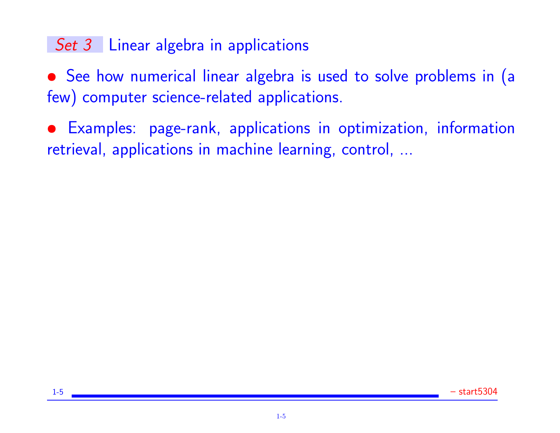# Set 3 Linear algebra in applications

• See how numerical linear algebra is used to solve problems in (a few) computer science-related applications.

• Examples: page-rank, applications in optimization, information retrieval, applications in machine learning, control, ...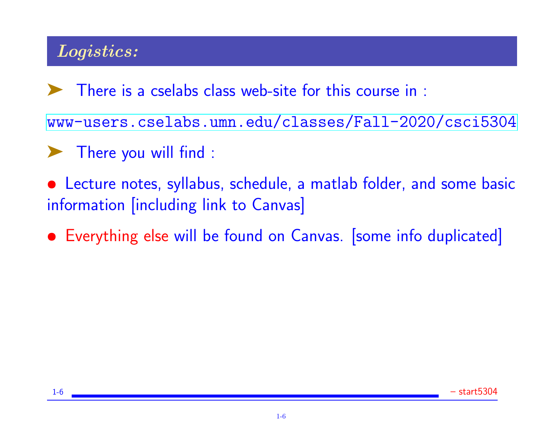# Logistics:

➤ There is a cselabs class web-site for this course in :

<www-users.cselabs.umn.edu/classes/Fall-2020/csci5304>

➤ There you will find :

• Lecture notes, syllabus, schedule, a matlab folder, and some basic information [including link to Canvas]

Everything else will be found on Canvas. [some info duplicated]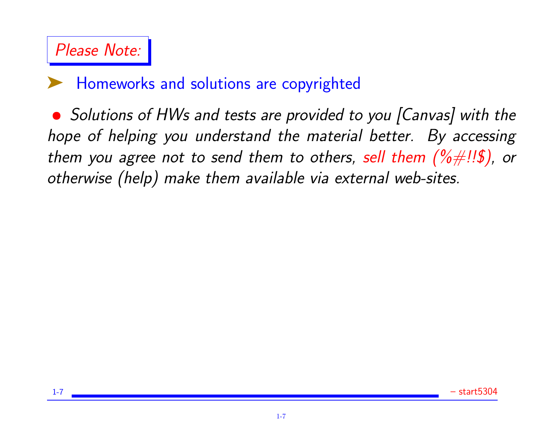

#### ➤ Homeworks and solutions are copyrighted

• Solutions of HWs and tests are provided to you [Canvas] with the hope of helping you understand the material better. By accessing them you agree not to send them to others, sell them  $(\% \# \cdot \text{!}\$\mathfrak{z})$ , or otherwise (help) make them available via external web-sites.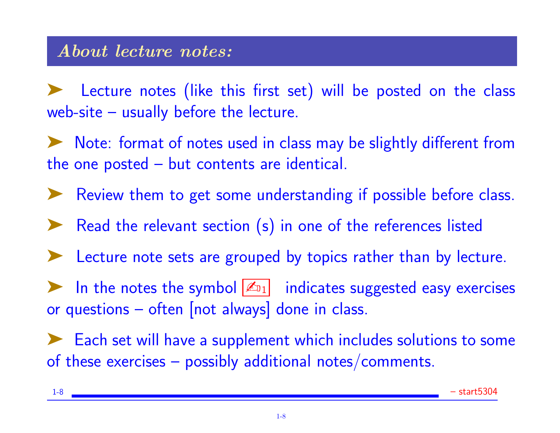#### About lecture notes:

Lecture notes (like this first set) will be posted on the class web-site – usually before the lecture.

➤ Note: format of notes used in class may be slightly different from the one posted – but contents are identical.

➤ Review them to get some understanding if possible before class.

- ➤ Read the relevant section (s) in one of the references listed
- Lecture note sets are grouped by topics rather than by lecture.

In the notes the symbol  $\mathbb{Z}_{1}$  indicates suggested easy exercises or questions – often [not always] done in class.

➤ Each set will have a supplement which includes solutions to some of these exercises – possibly additional notes/comments.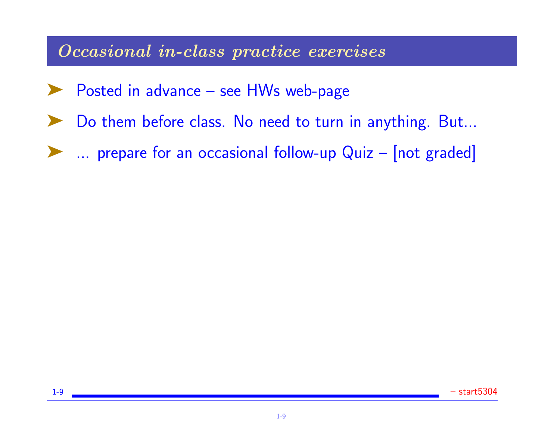#### Occasional in-class practice exercises

- Posted in advance see HWs web-page
- Do them before class. No need to turn in anything. But...
- ➤ ... prepare for an occasional follow-up Quiz [not graded]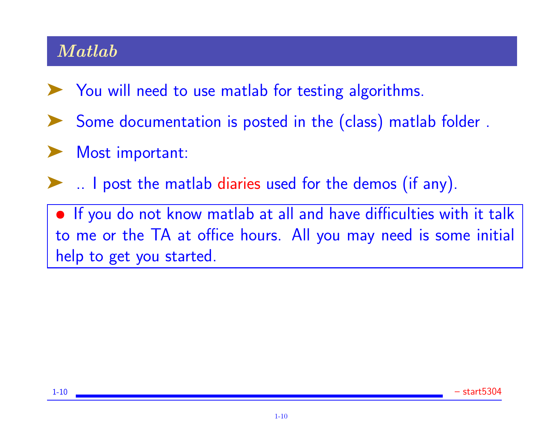### Matlab

- ➤ You will need to use matlab for testing algorithms.
- Some documentation is posted in the (class) matlab folder.
- Most important:
- ➤ .. I post the matlab diaries used for the demos (if any).

• If you do not know matlab at all and have difficulties with it talk to me or the TA at office hours. All you may need is some initial help to get you started.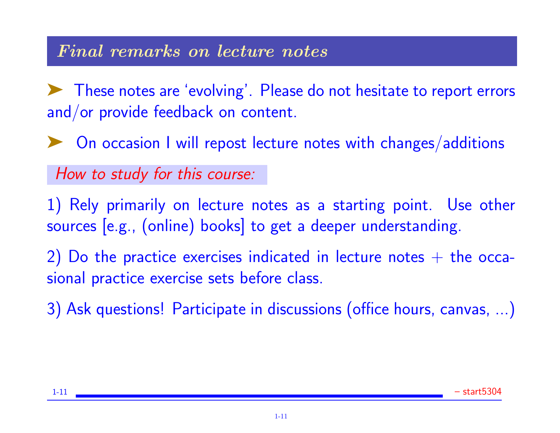#### Final remarks on lecture notes

➤ These notes are 'evolving'. Please do not hesitate to report errors and/or provide feedback on content.

◆ On occasion I will repost lecture notes with changes/additions

How to study for this course:

1) Rely primarily on lecture notes as a starting point. Use other sources [e.g., (online) books] to get a deeper understanding.

2) Do the practice exercises indicated in lecture notes  $+$  the occasional practice exercise sets before class.

3) Ask questions! Participate in discussions (office hours, canvas, ...)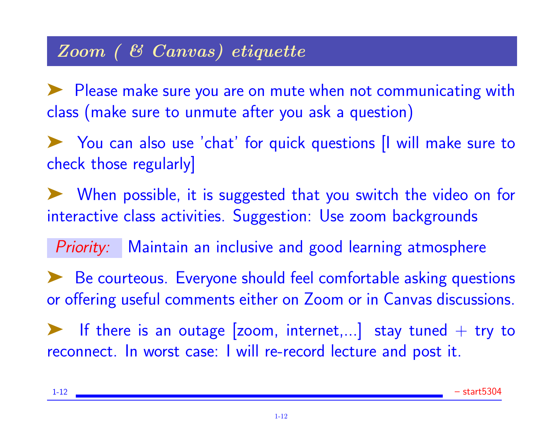### Zoom ( & Canvas) etiquette

➤ Please make sure you are on mute when not communicating with class (make sure to unmute after you ask a question)

◆ You can also use 'chat' for quick questions || will make sure to check those regularly]

➤ When possible, it is suggested that you switch the video on for interactive class activities. Suggestion: Use zoom backgrounds

Priority: Maintain an inclusive and good learning atmosphere

➤ Be courteous. Everyone should feel comfortable asking questions or offering useful comments either on Zoom or in Canvas discussions.

If there is an outage  $[zoom, internet,...]$  stay tuned  $+$  try to reconnect. In worst case: I will re-record lecture and post it.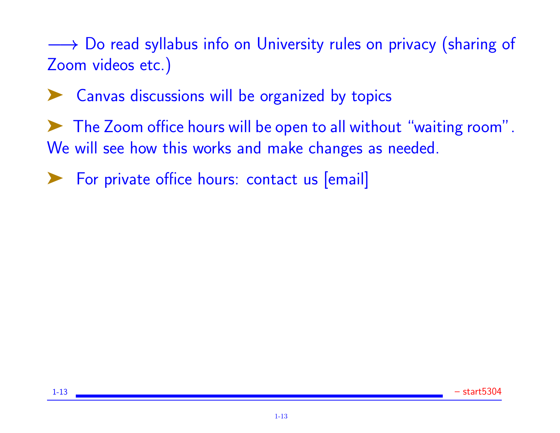→ Do read syllabus info on University rules on privacy (sharing of Zoom videos etc.)

◆ Canvas discussions will be organized by topics

➤ The Zoom office hours will be open to all without "waiting room". We will see how this works and make changes as needed.

For private office hours: contact us [email]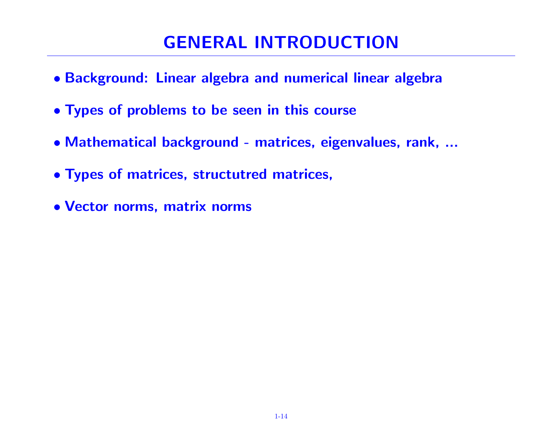# GENERAL INTRODUCTION

- Background: Linear algebra and numerical linear algebra
- Types of problems to be seen in this course
- Mathematical background matrices, eigenvalues, rank, ...
- Types of matrices, structutred matrices,
- Vector norms, matrix norms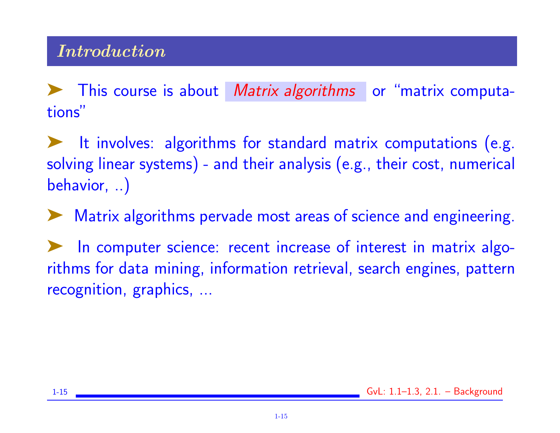This course is about Matrix algorithms or "matrix computations"

➤ It involves: algorithms for standard matrix computations (e.g. solving linear systems) - and their analysis (e.g., their cost, numerical behavior, ..)

➤ Matrix algorithms pervade most areas of science and engineering.

In computer science: recent increase of interest in matrix algorithms for data mining, information retrieval, search engines, pattern recognition, graphics, ...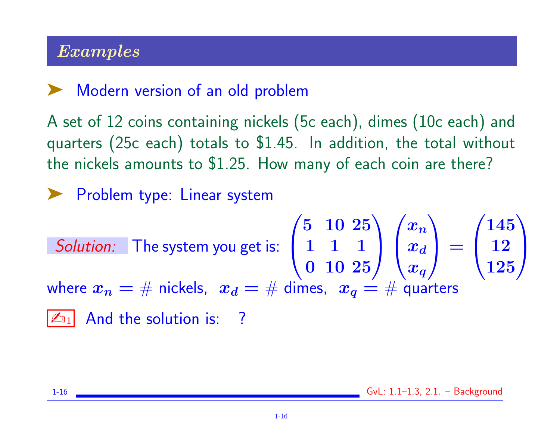### Examples

### Modern version of an old problem

A set of 12 coins containing nickels (5c each), dimes (10c each) and quarters (25c each) totals to \$1.45. In addition, the total without the nickels amounts to \$1.25. How many of each coin are there?

▶ Problem type: Linear system

Solution: The system you get is: 
$$
\begin{pmatrix} 5 & 10 & 25 \ 1 & 1 & 1 \ 0 & 10 & 25 \end{pmatrix} \begin{pmatrix} x_n \ x_d \ x_q \end{pmatrix} = \begin{pmatrix} 145 \ 12 \ 125 \end{pmatrix}
$$
  
where  $x_n = \#$  nickels,  $x_d = \#$  dimes,  $x_q = \#$  quarters  
 $\boxed{\mathbb{Z}_{11}}$  And the solution is: ?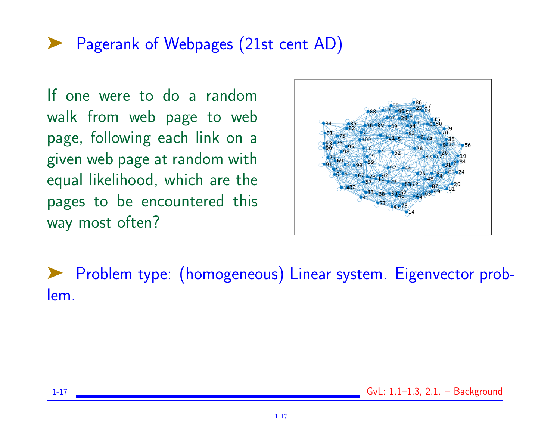### ➤ Pagerank of Webpages (21st cent AD)

If one were to do a random walk from web page to web page, following each link on a given web page at random with equal likelihood, which are the pages to be encountered this way most often?



➤ Problem type: (homogeneous) Linear system. Eigenvector problem.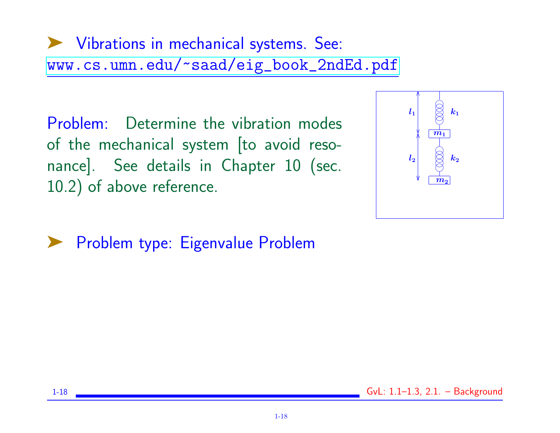# ➤ Vibrations in mechanical systems. See: [www.cs.umn.edu/~saad/eig\\_book\\_2ndEd.pdf](www.cs.umn.edu/~saad/eig_book_2ndEd.pdf)

Problem: Determine the vibration modes of the mechanical system [to avoid resonance]. See details in Chapter 10 (sec. 10.2) of above reference.



➤ Problem type: Eigenvalue Problem

1-18 GvL: 1.1–1.3, 2.1. – Background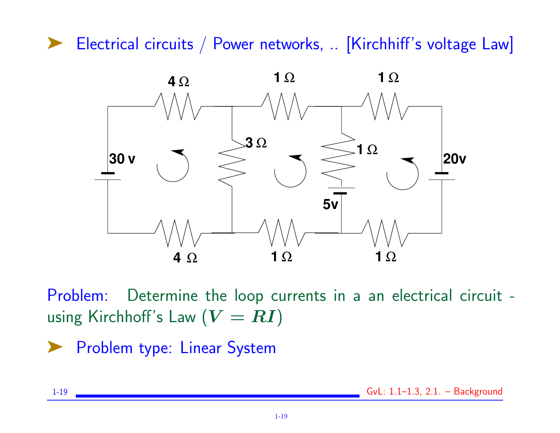▶ Electrical circuits / Power networks, .. [Kirchhiff's voltage Law]



Problem: Determine the loop currents in a an electrical circuit using Kirchhoff's Law  $(V = RI)$ 

▶ Problem type: Linear System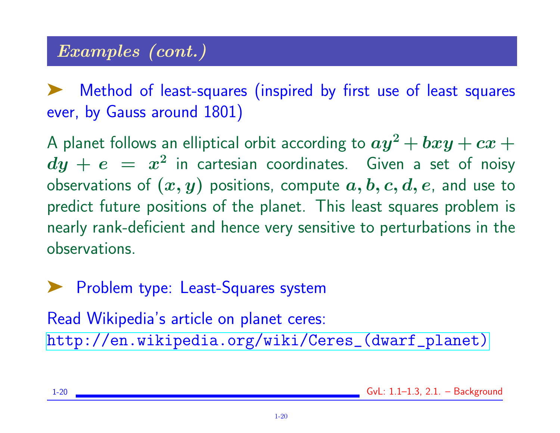### Examples (cont.)

Method of least-squares (inspired by first use of least squares ever, by Gauss around 1801)

A planet follows an elliptical orbit according to  $ay^2 + bxy + cx +$  $dy\,+\,e\,\,=\,\,x^2$  in cartesian coordinates. Given a set of noisy observations of  $(x, y)$  positions, compute  $a, b, c, d, e$ , and use to predict future positions of the planet. This least squares problem is nearly rank-deficient and hence very sensitive to perturbations in the observations.

➤ Problem type: Least-Squares system

Read Wikipedia's article on planet ceres: [http://en.wikipedia.org/wiki/Ceres\\_\(dwarf\\_planet\)](http://en.wikipedia.org/wiki/Ceres_(dwarf_planet))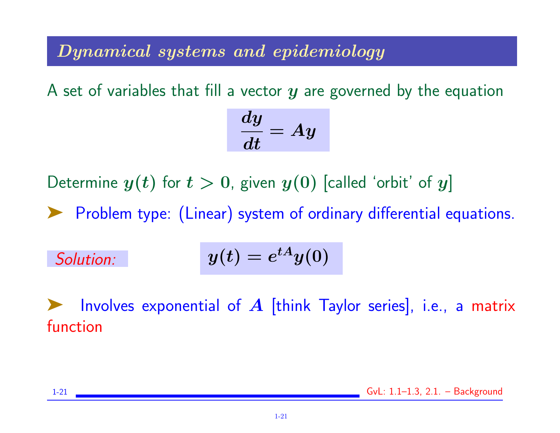#### Dynamical systems and epidemiology

A set of variables that fill a vector  $y$  are governed by the equation

$$
\frac{dy}{dt}=Ay
$$

Determine  $y(t)$  for  $t > 0$ , given  $y(0)$  [called 'orbit' of y]

▶ Problem type: (Linear) system of ordinary differential equations.

Solution: 
$$
y(t) = e^{tA}y(0)
$$

Involves exponential of  $A$  [think Taylor series], i.e., a matrix function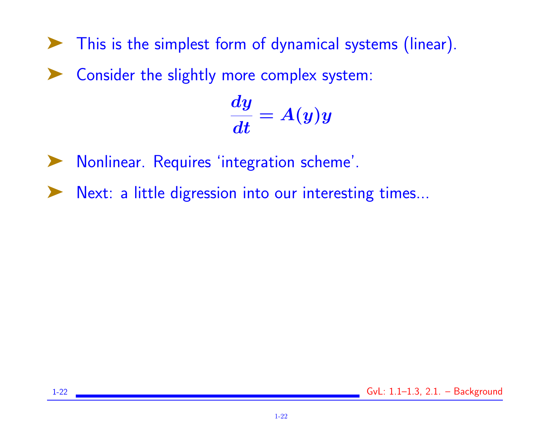- ➤ This is the simplest form of dynamical systems (linear).
- ➤ Consider the slightly more complex system:

$$
\frac{dy}{dt}=A(y)y
$$

- ➤ Nonlinear. Requires 'integration scheme'.
- ➤ Next: a little digression into our interesting times...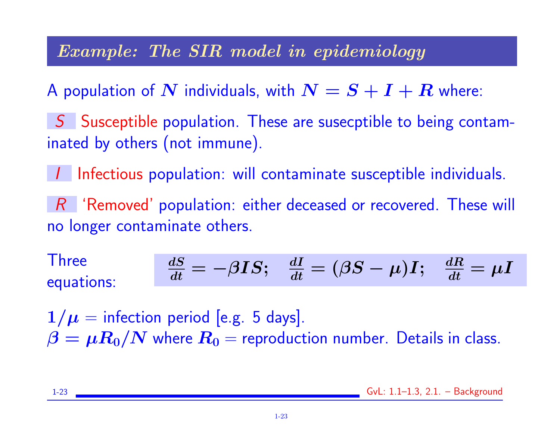#### Example: The SIR model in epidemiology

A population of  $N$  individuals, with  $N = S + I + R$  where:

S Susceptible population. These are susecptible to being contaminated by others (not immune).

I Infectious population: will contaminate susceptible individuals.

 $R$  'Removed' population: either deceased or recovered. These will no longer contaminate others.

**Three** equations:  $\overline{dS}$  $\frac{dS}{dt}=-\beta I S;\;\;\;\frac{dI}{dt}=(\beta S-\mu)I;\;\;\;\frac{dR}{dt}$  $\frac{d\boldsymbol{R}}{dt}=\mu\boldsymbol{I}$ 

 $1/\mu$  = infection period [e.g. 5 days].  $\beta = \mu R_0/N$  where  $R_0$  = reproduction number. Details in class.

1-23 GvL: 1.1–1.3, 2.1. – Background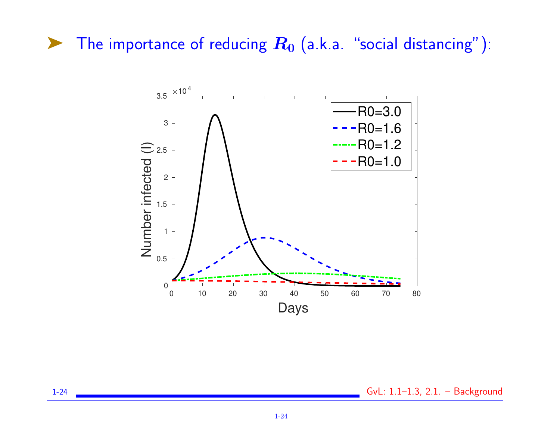# $\blacktriangleright$  The importance of reducing  $R_0$  (a.k.a. "social distancing"):



1-24 GvL: 1.1–1.3, 2.1. – Background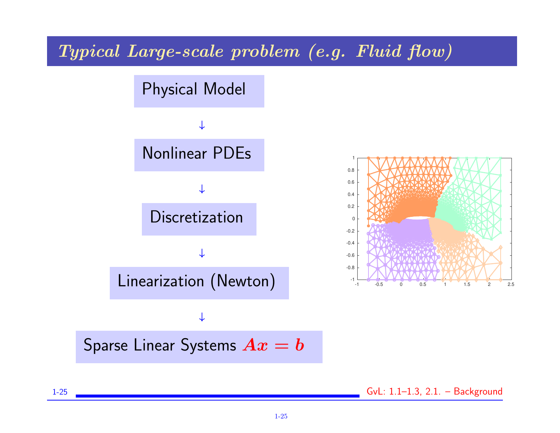Typical Large-scale problem (e.g. Fluid flow)



1-25 GvL: 1.1–1.3, 2.1. – Background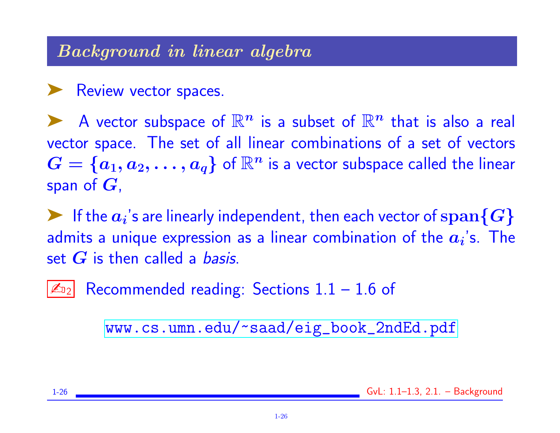#### Background in linear algebra

#### ▶ Review vector spaces.

A vector subspace of  $\mathbb{R}^n$  is a subset of  $\mathbb{R}^n$  that is also a real vector space. The set of all linear combinations of a set of vectors  $G = \{a_1, a_2, \ldots, a_q\}$  of  $\mathbb{R}^n$  is a vector subspace called the linear span of  $G$ ,

F If the  $a_i$ 's are linearly independent, then each vector of  $\operatorname{span}\{G\}$ admits a unique expression as a linear combination of the  $\bm{a_i}$ 's. The set  $G$  is then called a *basis*.

 $\mathbb{Z}_{22}$  Recommended reading: Sections  $1.1 - 1.6$  of

[www.cs.umn.edu/~saad/eig\\_book\\_2ndEd.pdf](www.cs.umn.edu/~saad/eig_book_2ndEd.pdf)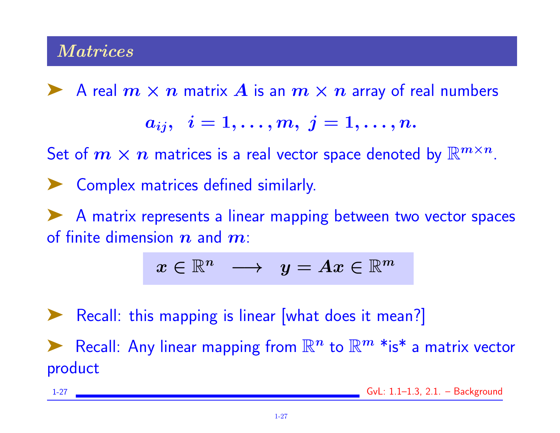#### **Matrices**

A real  $m \times n$  matrix A is an  $m \times n$  array of real numbers

$$
a_{ij},\;\;i=1,\ldots,m,\;j=1,\ldots,n.
$$

Set of  $m \times n$  matrices is a real vector space denoted by  $\mathbb{R}^{m \times n}$ .

➤ Complex matrices defined similarly.

➤ A matrix represents a linear mapping between two vector spaces of finite dimension  $n$  and  $m$ :

$$
x\in\mathbb{R}^n~~\longrightarrow~~y=Ax\in\mathbb{R}^m
$$

Recall: this mapping is linear [what does it mean?] Recall: Any linear mapping from  $\mathbb{R}^n$  to  $\mathbb{R}^m$  \*is\* a matrix vector product

| - - - | ''<br>المستقبل والمستقبل<br>OVERLE AND<br>$    -$ |
|-------|---------------------------------------------------|
|       |                                                   |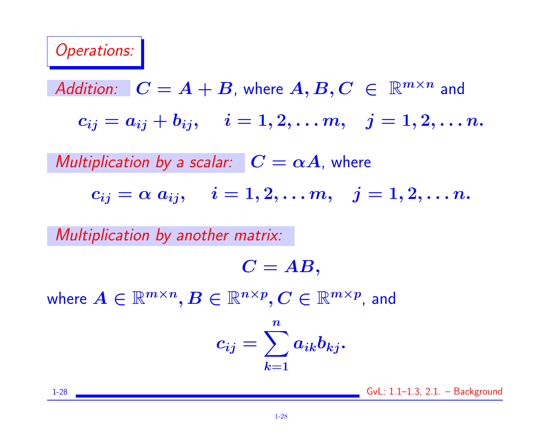#### Operations:

Addition: 
$$
C = A + B
$$
, where  $A, B, C \in \mathbb{R}^{m \times n}$  and  
 $c_{ij} = a_{ij} + b_{ij}$ ,  $i = 1, 2, ..., m$ ,  $j = 1, 2, ..., n$ .

Multiplication by a scalar:  $C = \alpha A$ , where

 $c_{ij} = \alpha a_{ij}, \quad i = 1, 2, \ldots m, \quad j = 1, 2, \ldots n.$ 

Multiplication by another matrix:

 $C = AB$ ,

where  $A \in \mathbb{R}^{m \times n},$   $B \in \mathbb{R}^{n \times p},$   $C \in \mathbb{R}^{m \times p}$ , and

$$
c_{ij}=\sum_{k=1}^n a_{ik}b_{kj}.
$$

1-28 GvL: 1.1–1.3, 2.1. – Background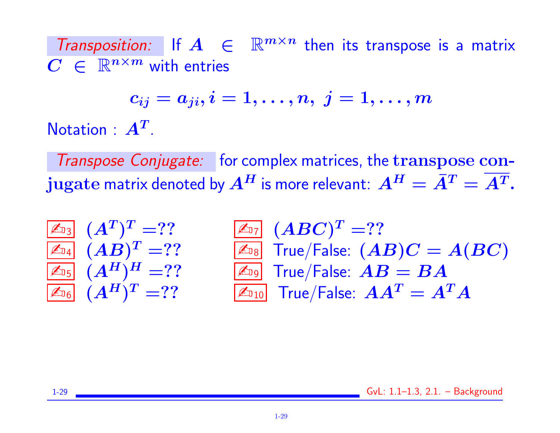Transposition: If  $A \in \mathbb{R}^{m \times n}$  then its transpose is a matrix  $C \in \mathbb{R}^{n \times m}$  with entries

$$
c_{ij}=a_{ji}, i=1,\ldots,n, \ j=1,\ldots,m
$$
  $A^T$ 

**Notation** 

Transpose Conjugate: for complex matrices, the transpose conjugate matrix denoted by  $A^H$  is more relevant:  $A^H = \bar{A}^T = A^T$ .

| $\mathbb{Z}_{\text{D3}}$ | $(A^T)^T =$ ? | $\mathbb{Z}_{\text{D7}}$ | $(ABC)^T =$ ?               |
|--------------------------|---------------|--------------------------|-----------------------------|
| $\mathbb{Z}_{\text{D4}}$ | $(AB)^T =$ ?  | $\mathbb{Z}_{\text{D8}}$ | True/False: $(AB)C = A(BC)$ |
| $\mathbb{Z}_{\text{D5}}$ | $(A^H)^H =$ ? | $\mathbb{Z}_{\text{D9}}$ | True/False: $AB = BA$       |
| $\mathbb{Z}_{\text{D6}}$ | $(A^H)^T =$ ? | $\mathbb{Z}_{\text{D1}}$ | True/False: $AA^T = A^TA$   |

1-29 GvL: 1.1–1.3, 2.1. – Background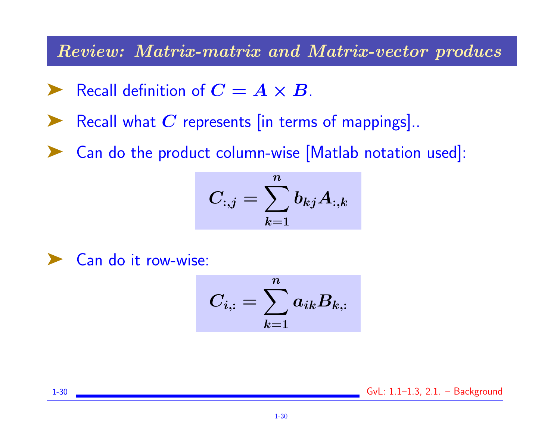Review: Matrix-matrix and Matrix-vector producs

- Recall definition of  $\boldsymbol{C} = \boldsymbol{A} \times \boldsymbol{B}$ .
- Recall what  $C$  represents [in terms of mappings]..
- Can do the product column-wise [Matlab notation used]:

$$
C_{:,j}=\sum_{k=1}^n b_{kj}A_{:,k}
$$

Can do it row-wise:

$$
C_{i,:}=\sum_{k=1}^n a_{ik}B_{k,:}
$$

1-30 GvL: 1.1–1.3, 2.1. – Background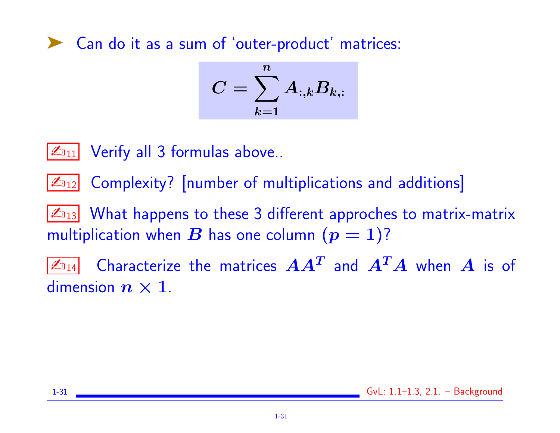# ➤ Can do it as a sum of 'outer-product' matrices:

$$
C=\sum_{k=1}^n A_{:,k}B_{k,:}
$$

 $\mathbb{Z}_{11}$  Verify all 3 formulas above..

 $\mathbb{Z}_{12}$  Complexity? [number of multiplications and additions]

 $|\mathcal{L}_{13}|$  What happens to these 3 different approches to matrix-matrix multiplication when B has one column  $(p = 1)$ ?

 $\mathbb{Z}_{\texttt{D}_\texttt{14}}$  Characterize the matrices  $\boldsymbol{A}\boldsymbol{A^T}$  and  $\boldsymbol{A^T}\boldsymbol{A}$  when  $\boldsymbol{A}$  is of dimension  $n \times 1$ .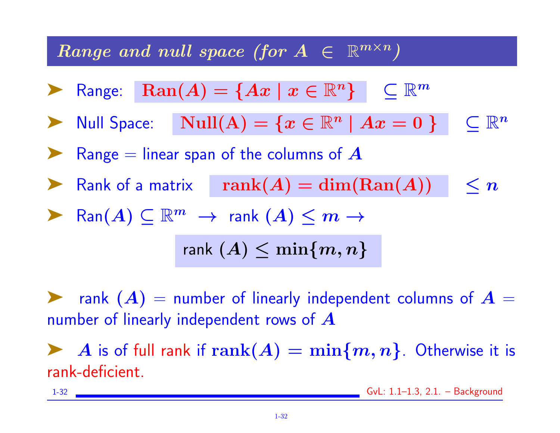# Range and null space (for  $A \in \mathbb{R}^{m \times n}$ )

**Range:** 
$$
\text{Ran}(A) = \{Ax \mid x \in \mathbb{R}^n\} \subseteq \mathbb{R}^m
$$

▶ Null Space:  $\text{Null}(A) = \{x \in \mathbb{R}^n \mid Ax = 0\}$   $\subset \mathbb{R}^n$ 

Range  $=$  linear span of the columns of  $\boldsymbol{A}$ 

**Example 13** Rank of a matrix rank $(A) = \dim(\text{Ran}(A))$   $\leq n$ 

▶ Ran $(A)$   $\subset$   $\mathbb{R}^m$   $\rightarrow$  rank  $(A)$   $\leq$   $m$   $\rightarrow$ 

rank  $(A) \leq \min\{m, n\}$ 

rank  $(A)$  = number of linearly independent columns of  $A =$ number of linearly independent rows of A

A is of full rank if  $\text{rank}(A) = \min\{m, n\}$ . Otherwise it is rank-deficient.

1-32 GvL: 1.1–1.3, 2.1. – Background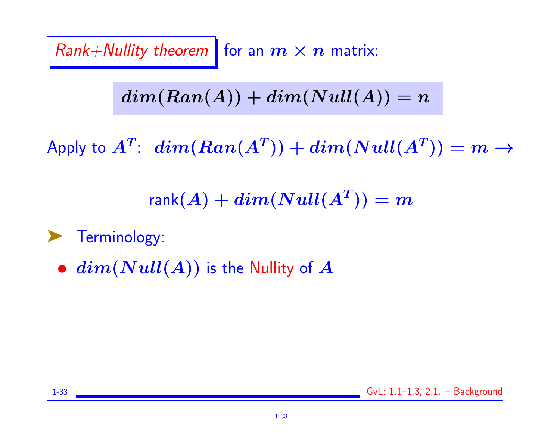Rank+Nullity theorem for an  $m \times n$  matrix:

 $dim(Ran(A)) + dim(Null(A)) = n$ 

Apply to  $A^T\!\!:\,\,\mathit{dim}(\mathit{Ran}(A^T))+\mathit{dim}(\mathit{Null}(A^T))=m\rightarrow$ 

 $\mathsf{rank}(A) + dim(Null(A^T)) = m$ 

▶ Terminology:

 $\bullet$   $dim(Null(A))$  is the Nullity of  $A$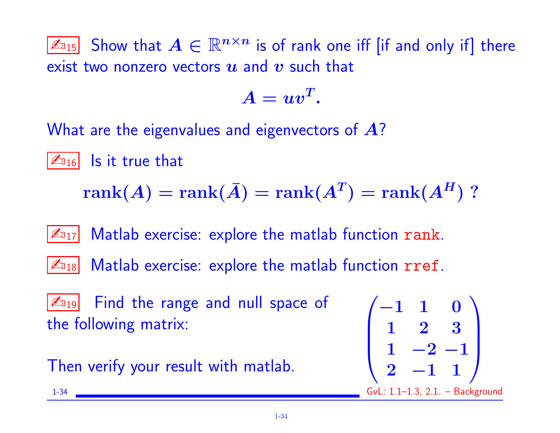$\mathbb{Z}_{15}$  Show that  $A \in \mathbb{R}^{n \times n}$  is of rank one iff [if and only if] there exist two nonzero vectors  $u$  and  $v$  such that

$$
A = uv^T.
$$

What are the eigenvalues and eigenvectors of A?

 $|\mathcal{L}_{016}|$  is it true that

 $\mathrm{rank}(A)=\mathrm{rank}(\bar{A})=\mathrm{rank}(A^T)=\mathrm{rank}(A^H)$  ?

 $|\mathcal{L}_{17}|$  Matlab exercise: explore the matlab function rank.



 $|\mathcal{L}_{18}|$  Matlab exercise: explore the matlab function  $rref$ .

 $\mathbb{Z}_{19}$  Find the range and null space of the following matrix:

Then verify your result with matlab.

$$
\begin{array}{ll}\n\hline\n\mathbb{Z}_{\text{D19}} & \text{Find the range and null space of} \\
\text{he following matrix:} & \begin{pmatrix} -1 & 1 & 0 \\
1 & 2 & 3 \\
1 & -2 & -1 \\
2 & -1 & 1\n\end{pmatrix}\n\end{array}
$$
\nThen verify your result with `math`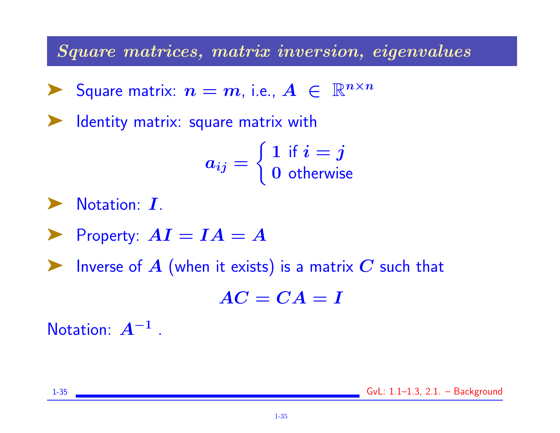Square matrices, matrix inversion, eigenvalues

Square matrix:  $n = m$ , i.e.,  $A \in \mathbb{R}^{n \times n}$ 

Identity matrix: square matrix with

 $a_{ij} =$  $\int 1$  if  $i = j$ 0 otherwise

Notation: I.

 $\blacktriangleright$  Property:  $AI = IA = A$ 

**Example 3** Inverse of  $A$  (when it exists) is a matrix  $C$  such that

 $AC = CA = I$ 

Notation:  $A^{-1}$  .

1-35 GvL: 1.1–1.3, 2.1. – Background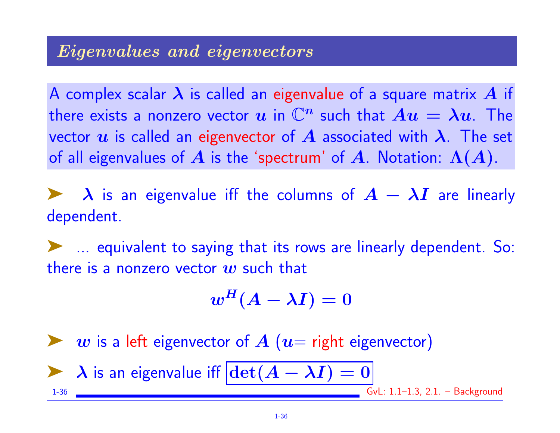#### Eigenvalues and eigenvectors

A complex scalar  $\lambda$  is called an eigenvalue of a square matrix  $A$  if there exists a nonzero vector  $u$  in  $\mathbb{C}^n$  such that  $Au = \lambda u$ . The vector u is called an eigenvector of A associated with  $\lambda$ . The set of all eigenvalues of A is the 'spectrum' of A. Notation:  $\Lambda(A)$ .

 $\lambda$  is an eigenvalue iff the columns of  $A - \lambda I$  are linearly dependent.

➤ ... equivalent to saying that its rows are linearly dependent. So: there is a nonzero vector  $w$  such that

$$
w^H(A-\lambda I)=0
$$

 $w$  is a left eigenvector of  $A$  ( $u=$  right eigenvector)  $\lambda$  is an eigenvalue iff  $|\text{det}(A - \lambda I)| = 0$ 

1-36 CVL: 1.1-1.3, 2.1. – Background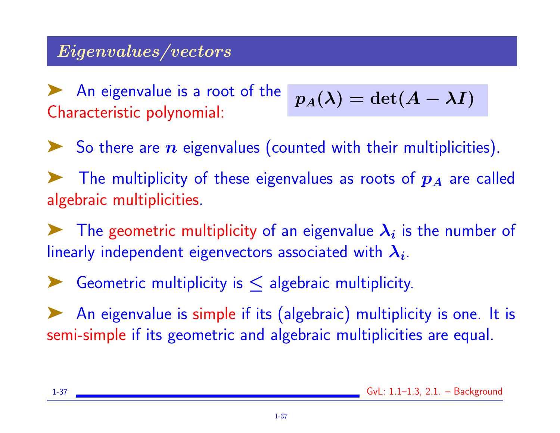### Eigenvalues/vectors

An eigenvalue is a root of the Characteristic polynomial:

$$
p_A(\lambda)=\det(A-\lambda I)
$$

So there are  $n$  eigenvalues (counted with their multiplicities).

The multiplicity of these eigenvalues as roots of  $p_A$  are called algebraic multiplicities.

The geometric multiplicity of an eigenvalue  $\lambda_i$  is the number of linearly independent eigenvectors associated with  $\boldsymbol{\lambda_i}.$ 

Geometric multiplicity is  $\leq$  algebraic multiplicity.

An eigenvalue is simple if its (algebraic) multiplicity is one. It is semi-simple if its geometric and algebraic multiplicities are equal.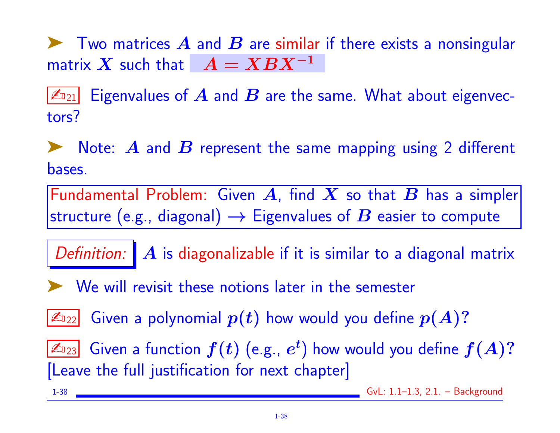$\blacktriangleright$  Two matrices  $\blacktriangle$  and  $\blacktriangleright$  are similar if there exists a nonsingular matrix X such that  $A = XBX^{-1}$ 

 $|\mathbb{Z}_{21}|$  Eigenvalues of  $\bm{A}$  and  $\bm{B}$  are the same. What about eigenvectors?

 $\blacktriangleright$  Note: A and B represent the same mapping using 2 different bases.

Fundamental Problem: Given A, find X so that B has a simpler structure (e.g., diagonal)  $\rightarrow$  Eigenvalues of  $B$  easier to compute

Definition:  $\mathbf{A}$  is diagonalizable if it is similar to a diagonal matrix

◆ We will revisit these notions later in the semester

 $\boxed{\mathbb{Z}_{\mathbb{D}_{22}}}$  Given a polynomial  $p(t)$  how would you define  $p(A)?$ 

 $\boxed{\mathbb{Z}_{23}}$  Given a function  $f(t)$  (e.g.,  $e^t$ ) how would you define  $f(A)?$ [Leave the full justification for next chapter]

1-38 GvL: 1.1–1.3, 2.1. – Background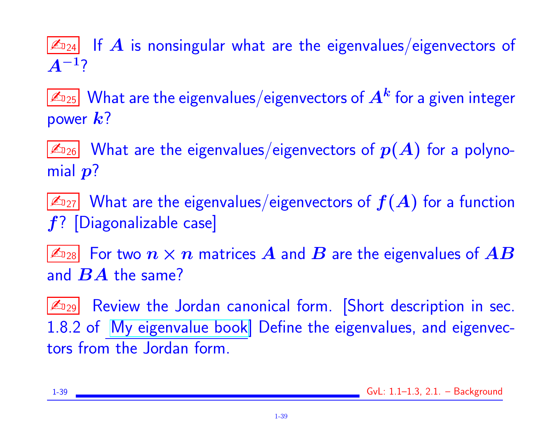$|\mathcal{L}_{24}|$  If  $\bm{A}$  is nonsingular what are the eigenvalues/eigenvectors of  $A^{-1}$ ?

 $\mathbb{Z}_{\scriptscriptstyle 25}$  What are the eigenvalues/eigenvectors of  $\bm{A^k}$  for a given integer power  $k$ ?

 $\mathbb{Z}_{26}$  What are the eigenvalues/eigenvectors of  $p(A)$  for a polynomial  $p$ ?

 $\mathbb{Z}_{27}$  What are the eigenvalues/eigenvectors of  $f(A)$  for a function  $f$ ? [Diagonalizable case]

 $|\mathbb{Z}_{^{128}}|$  For two  $n\times n$  matrices  $A$  and  $B$  are the eigenvalues of  $AB$ and  $\boldsymbol{BA}$  the same?

 $\mathbb{Z}_{29}$  Review the Jordan canonical form. Short description in sec. 1.8.2 of [My eigenvalue book\]](http://www.cs.umn.edu/~saad/eig_book_2ndEd.pdf) Define the eigenvalues, and eigenvectors from the Jordan form.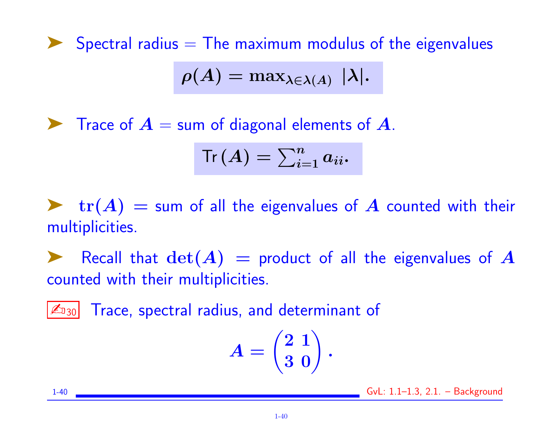Spectral radius  $=$  The maximum modulus of the eigenvalues

$$
\rho(A) = \max_{\lambda \in \lambda(A)} |\lambda|.
$$

 $\blacktriangleright$  Trace of  $A =$  sum of diagonal elements of  $A$ .

$$
\mathsf{Tr}\left(\boldsymbol{A}\right)=\sum_{i=1}^{n}a_{ii}.
$$

 $\blacktriangleright$   $\text{tr}(A)$  = sum of all the eigenvalues of A counted with their multiplicities.

Recall that  $\det(A)$  = product of all the eigenvalues of A counted with their multiplicities.

 $|\mathcal{L}_{130}|$  Trace, spectral radius, and determinant of

$$
A=\begin{pmatrix} 2 \ \ 1 \\ 3 \ \ 0 \end{pmatrix}.
$$

1-40 GvL: 1.1–1.3, 2.1. – Background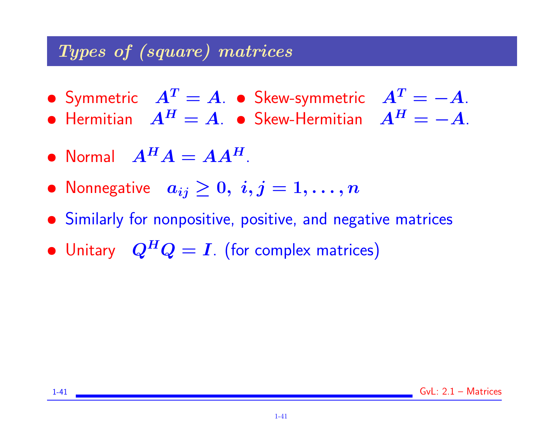#### Types of (square) matrices

- Symmetric  $A^T = A$ . Skew-symmetric  $A^T = -A$ .
- Hermitian  $A^H = A$ . Skew-Hermitian  $A^H = -A$ .
- Normal  $A^H A = A A^H$ .
- Nonnegative  $a_{ij} \geq 0, i,j = 1, \ldots, n$
- Similarly for nonpositive, positive, and negative matrices
- Unitary  $Q^H Q = I$ . (for complex matrices)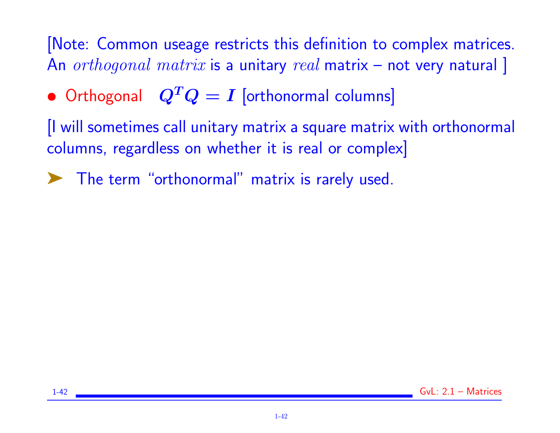# [Note: Common useage restricts this definition to complex matrices. An  $orthogonal$   $matrix$  is a unitary  $real$  matrix – not very natural ]

• Orthogonal  $Q^TQ = I$  [orthonormal columns]

[I will sometimes call unitary matrix a square matrix with orthonormal columns, regardless on whether it is real or complex]

The term "orthonormal" matrix is rarely used.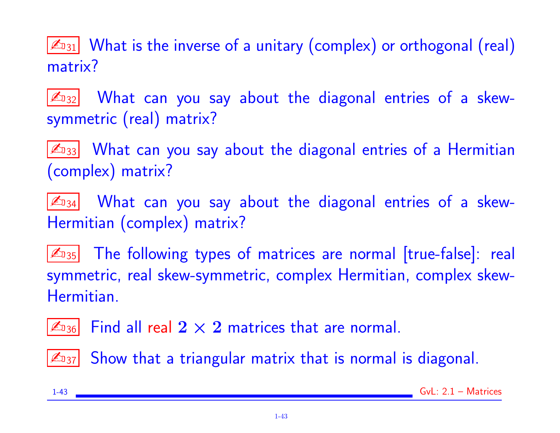$\mathbb{Z}_{31}$  What is the inverse of a unitary (complex) or orthogonal (real) matrix?

 $|\mathcal{L}_{32}|$  What can you say about the diagonal entries of a skewsymmetric (real) matrix?

 $\mathbb{Z}_{33}$  What can you say about the diagonal entries of a Hermitian (complex) matrix?

 $\mathbb{Z}_{34}$  What can you say about the diagonal entries of a skew-Hermitian (complex) matrix?

 $\mathbb{Z}_{35}$  The following types of matrices are normal [true-false]: real symmetric, real skew-symmetric, complex Hermitian, complex skew-Hermitian.

 $|\mathcal{L}_{136}|$  Find all real  $2\times 2$  matrices that are normal.

 $|\mathcal{L}_{37}|$  Show that a triangular matrix that is normal is diagonal.

|  | ×<br>I |
|--|--------|
|--|--------|

 $Gvl: 2.1 - Matrices$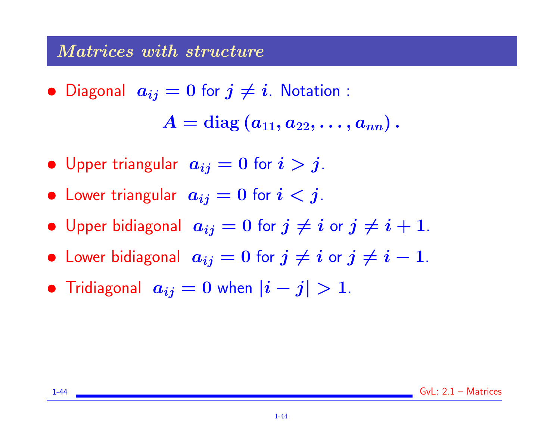#### Matrices with structure

• Diagonal  $a_{ij} = 0$  for  $j \neq i$ . Notation :

 $A = diag(a_{11}, a_{22}, \ldots, a_{nn}).$ 

- Upper triangular  $a_{ij} = 0$  for  $i > j$ .
- Lower triangular  $a_{ij} = 0$  for  $i < j$ .
- Upper bidiagonal  $a_{ij} = 0$  for  $j \neq i$  or  $j \neq i + 1$ .
- Lower bidiagonal  $a_{ij} = 0$  for  $j \neq i$  or  $j \neq i 1$ .
- Tridiagonal  $a_{ij} = 0$  when  $|i j| > 1$ .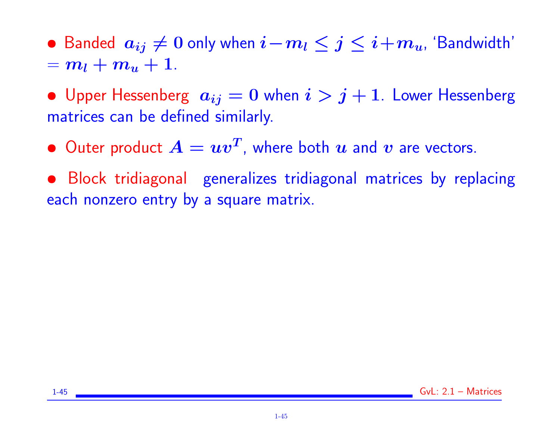• Banded  $a_{ij} \neq 0$  only when  $i-m_l \leq j \leq i+m_u$ , 'Bandwidth'  $= m_l + m_u + 1.$ 

• Upper Hessenberg  $a_{ij} = 0$  when  $i > j + 1$ . Lower Hessenberg matrices can be defined similarly.

 $\bullet$  Outer product  $A = uv^T$ , where both  $u$  and  $v$  are vectors.

• Block tridiagonal generalizes tridiagonal matrices by replacing each nonzero entry by a square matrix.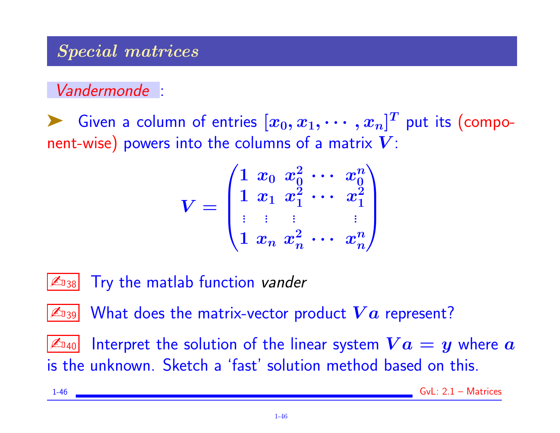#### Special matrices

### Vandermonde :

Siven a column of entries  $[x_0, x_1, \cdots, x_n]^T$  put its (component-wise) powers into the columns of a matrix  $V$ :

$$
V = \begin{pmatrix} 1 & x_0 & x_0^2 & \cdots & x_0^n \\ 1 & x_1 & x_1^2 & \cdots & x_1^2 \\ \vdots & \vdots & & \vdots \\ 1 & x_n & x_n^2 & \cdots & x_n^n \end{pmatrix}
$$

 $\mathbb{Z}_{138}$  Try the matlab function vander

 $\mathbb{Z}_{\text{I39}}$  What does the matrix-vector product  $\boldsymbol{Va}$  represent?

 $|\mathbb{Z}_{40}|$  Interpret the solution of the linear system  $\boldsymbol{V} \boldsymbol{a} = \boldsymbol{y}$  where  $\boldsymbol{a}$ is the unknown. Sketch a 'fast' solution method based on this.

$$
1-46
$$
 
$$
GvL: 2.1 - Matrices
$$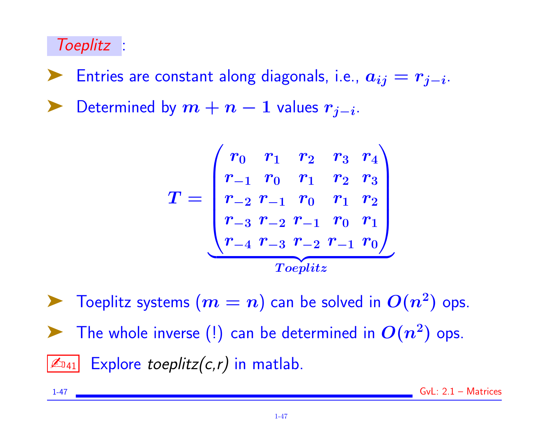### Toeplitz :

► Entries are constant along diagonals, i.e.,  $a_{ij} = r_{j-i}$ . ► Determined by  $m + n - 1$  values  $r_{j-i}$ .

$$
T=\begin{pmatrix}r_0&r_1&r_2&r_3&r_4\\r_{-1}&r_0&r_1&r_2&r_3\\r_{-2}&r_{-1}&r_0&r_1&r_2\\r_{-3}&r_{-2}&r_{-1}&r_0&r_1\\r_{-4}&r_{-3}&r_{-2}&r_{-1}&r_0\end{pmatrix}}_{Toeplitz}
$$

 $\blacktriangleright$  Toeplitz systems  $(m=n)$  can be solved in  $O(n^2)$  ops. The whole inverse (!) can be determined in  $O(n^2)$  ops.  $\boxed{\mathbb{Z}_{041}}$  Explore toeplitz(c,r) in matlab.

1-47 GvL: 2.1 – Matrices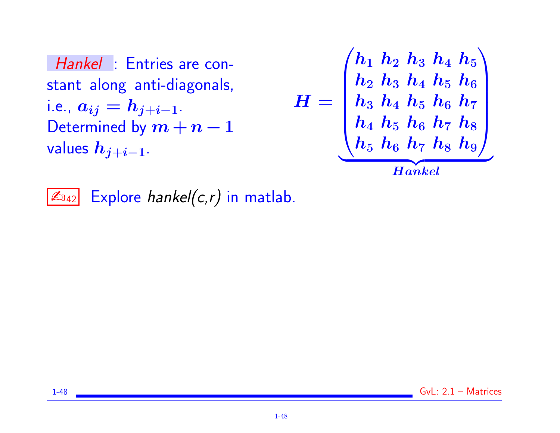Hankel : Entries are constant along anti-diagonals, i.e.,  $a_{ij} = h_{j+i-1}$ . Determined by  $m + n - 1$ values  $h_{j+i-1}$ .

$$
H = \left(\begin{matrix} h_1 & h_2 & h_3 & h_4 & h_5 \\ h_2 & h_3 & h_4 & h_5 & h_6 \\ h_3 & h_4 & h_5 & h_6 & h_7 \\ h_4 & h_5 & h_6 & h_7 & h_8 \\ h_5 & h_6 & h_7 & h_8 & h_9 \end{matrix}\right)
$$

 $\mathbb{Z}_{\text{D42}}$  Explore hankel(c,r) in matlab.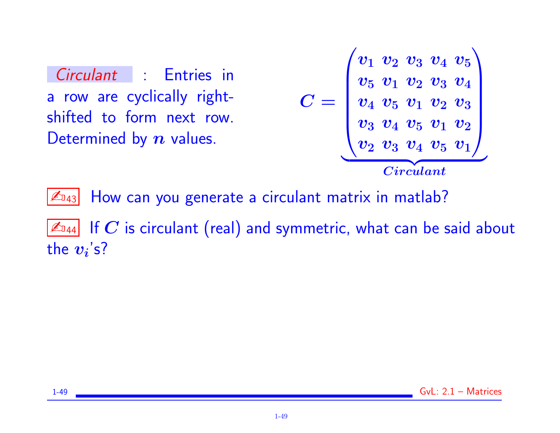Circulant : Entries in a row are cyclically rightshifted to form next row. Determined by  $n$  values.

$$
C = \begin{pmatrix} v_1 & v_2 & v_3 & v_4 & v_5 \ v_5 & v_1 & v_2 & v_3 & v_4 \ v_4 & v_5 & v_1 & v_2 & v_3 \ v_3 & v_4 & v_5 & v_1 & v_2 \ v_2 & v_3 & v_4 & v_5 & v_1 \ \end{pmatrix}
$$
  
*Circular*

 $\mathbb{Z}_{943}$  How can you generate a circulant matrix in matlab?

 $\mathbb{Z}_{044}$  If  $C$  is circulant (real) and symmetric, what can be said about the  $\boldsymbol{v_i}$ 's?